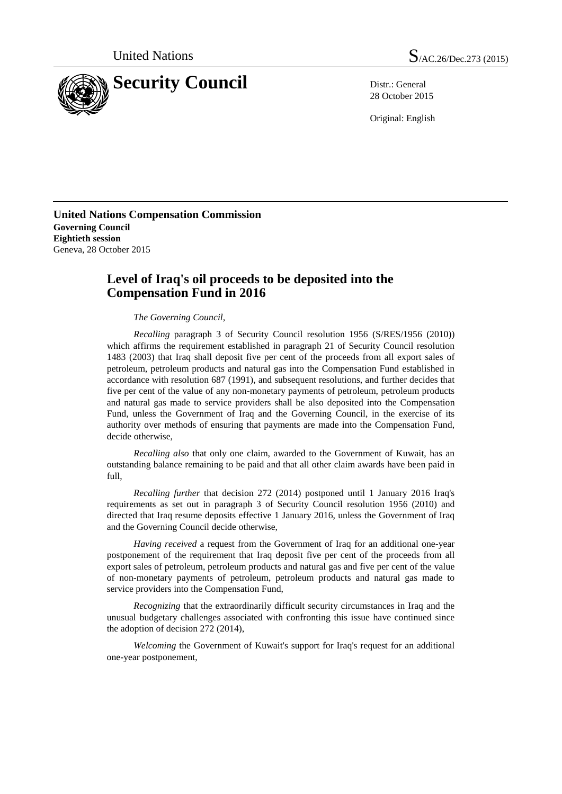

28 October 2015

Original: English

**United Nations Compensation Commission Governing Council Eightieth session** Geneva, 28 October 2015

## **Level of Iraq's oil proceeds to be deposited into the Compensation Fund in 2016**

*The Governing Council,*

*Recalling* paragraph 3 of Security Council resolution 1956 (S/RES/1956 (2010)) which affirms the requirement established in paragraph 21 of Security Council resolution 1483 (2003) that Iraq shall deposit five per cent of the proceeds from all export sales of petroleum, petroleum products and natural gas into the Compensation Fund established in accordance with resolution 687 (1991), and subsequent resolutions, and further decides that five per cent of the value of any non-monetary payments of petroleum, petroleum products and natural gas made to service providers shall be also deposited into the Compensation Fund, unless the Government of Iraq and the Governing Council, in the exercise of its authority over methods of ensuring that payments are made into the Compensation Fund, decide otherwise,

*Recalling also* that only one claim, awarded to the Government of Kuwait, has an outstanding balance remaining to be paid and that all other claim awards have been paid in full,

*Recalling further* that decision 272 (2014) postponed until 1 January 2016 Iraq's requirements as set out in paragraph 3 of Security Council resolution 1956 (2010) and directed that Iraq resume deposits effective 1 January 2016, unless the Government of Iraq and the Governing Council decide otherwise,

*Having received* a request from the Government of Iraq for an additional one-year postponement of the requirement that Iraq deposit five per cent of the proceeds from all export sales of petroleum, petroleum products and natural gas and five per cent of the value of non-monetary payments of petroleum, petroleum products and natural gas made to service providers into the Compensation Fund,

*Recognizing* that the extraordinarily difficult security circumstances in Iraq and the unusual budgetary challenges associated with confronting this issue have continued since the adoption of decision 272 (2014),

*Welcoming* the Government of Kuwait's support for Iraq's request for an additional one-year postponement,